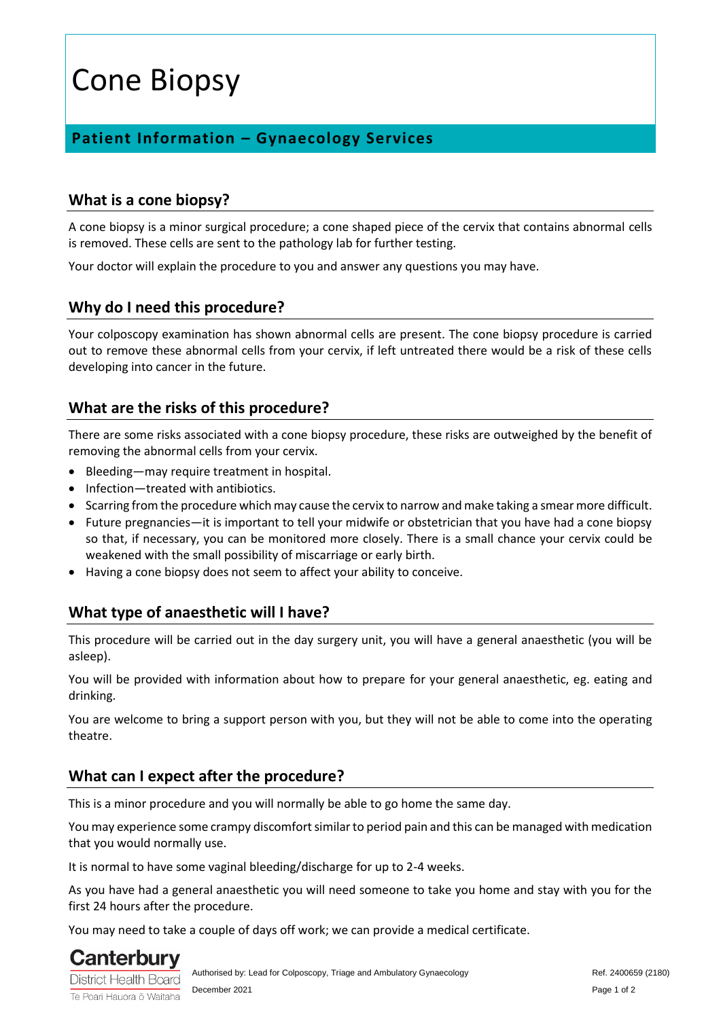# Cone Biopsy

## **Patient Information – Gynaecology Services**

#### **What is a cone biopsy?**

A cone biopsy is a minor surgical procedure; a cone shaped piece of the cervix that contains abnormal cells is removed. These cells are sent to the pathology lab for further testing.

Your doctor will explain the procedure to you and answer any questions you may have.

#### **Why do I need this procedure?**

Your colposcopy examination has shown abnormal cells are present. The cone biopsy procedure is carried out to remove these abnormal cells from your cervix, if left untreated there would be a risk of these cells developing into cancer in the future.

#### **What are the risks of this procedure?**

There are some risks associated with a cone biopsy procedure, these risks are outweighed by the benefit of removing the abnormal cells from your cervix.

- Bleeding—may require treatment in hospital.
- Infection—treated with antibiotics.
- Scarring from the procedure which may cause the cervix to narrow and make taking a smear more difficult.
- Future pregnancies—it is important to tell your midwife or obstetrician that you have had a cone biopsy so that, if necessary, you can be monitored more closely. There is a small chance your cervix could be weakened with the small possibility of miscarriage or early birth.
- Having a cone biopsy does not seem to affect your ability to conceive.

#### **What type of anaesthetic will I have?**

This procedure will be carried out in the day surgery unit, you will have a general anaesthetic (you will be asleep).

You will be provided with information about how to prepare for your general anaesthetic, eg. eating and drinking.

You are welcome to bring a support person with you, but they will not be able to come into the operating theatre.

#### **What can I expect after the procedure?**

This is a minor procedure and you will normally be able to go home the same day.

You may experience some crampy discomfort similar to period pain and this can be managed with medication that you would normally use.

It is normal to have some vaginal bleeding/discharge for up to 2-4 weeks.

As you have had a general anaesthetic you will need someone to take you home and stay with you for the first 24 hours after the procedure.

You may need to take a couple of days off work; we can provide a medical certificate.



Te Poari Hauora ō Waitaha

Authorised by: Lead for Colposcopy, Triage and Ambulatory Gynaecology Ref. 2400659 (2180) December 2021 Page 1 of 2